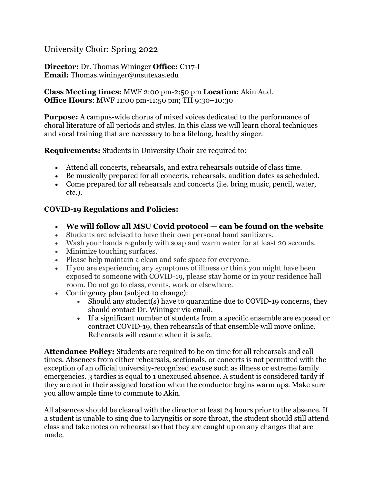# University Choir: Spring 2022

### **Director:** Dr. Thomas Wininger **Office:** C117-I **Email:** Thomas.wininger@msutexas.edu

### **Class Meeting times:** MWF 2:00 pm-2:50 pm **Location:** Akin Aud. **Office Hours**: MWF 11:00 pm-11:50 pm; TH 9:30–10:30

**Purpose:** A campus-wide chorus of mixed voices dedicated to the performance of choral literature of all periods and styles. In this class we will learn choral techniques and vocal training that are necessary to be a lifelong, healthy singer.

**Requirements:** Students in University Choir are required to:

- Attend all concerts, rehearsals, and extra rehearsals outside of class time.
- Be musically prepared for all concerts, rehearsals, audition dates as scheduled.
- Come prepared for all rehearsals and concerts (i.e. bring music, pencil, water, etc.).

# **COVID-19 Regulations and Policies:**

- **We will follow all MSU Covid protocol — can be found on the website**
- Students are advised to have their own personal hand sanitizers.
- Wash your hands regularly with soap and warm water for at least 20 seconds.
- Minimize touching surfaces.
- Please help maintain a clean and safe space for everyone.
- If you are experiencing any symptoms of illness or think you might have been exposed to someone with COVID-19, please stay home or in your residence hall room. Do not go to class, events, work or elsewhere.
- Contingency plan (subject to change):
	- Should any student(s) have to quarantine due to COVID-19 concerns, they should contact Dr. Wininger via email.
	- If a significant number of students from a specific ensemble are exposed or contract COVID-19, then rehearsals of that ensemble will move online. Rehearsals will resume when it is safe.

**Attendance Policy:** Students are required to be on time for all rehearsals and call times. Absences from either rehearsals, sectionals, or concerts is not permitted with the exception of an official university-recognized excuse such as illness or extreme family emergencies. 3 tardies is equal to 1 unexcused absence. A student is considered tardy if they are not in their assigned location when the conductor begins warm ups. Make sure you allow ample time to commute to Akin.

All absences should be cleared with the director at least 24 hours prior to the absence. If a student is unable to sing due to laryngitis or sore throat, the student should still attend class and take notes on rehearsal so that they are caught up on any changes that are made.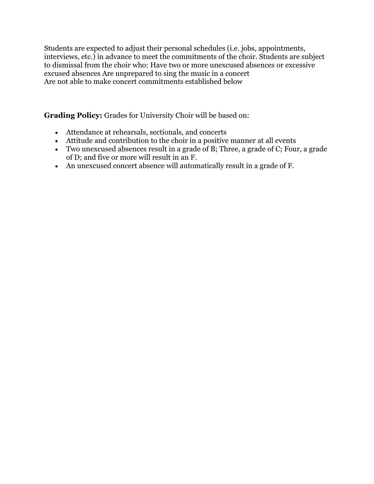Students are expected to adjust their personal schedules (i.e. jobs, appointments, interviews, etc.) in advance to meet the commitments of the choir. Students are subject to dismissal from the choir who: Have two or more unexcused absences or excessive excused absences Are unprepared to sing the music in a concert Are not able to make concert commitments established below

**Grading Policy:** Grades for University Choir will be based on:

- Attendance at rehearsals, sectionals, and concerts
- Attitude and contribution to the choir in a positive manner at all events
- Two unexcused absences result in a grade of B; Three, a grade of C; Four, a grade of D; and five or more will result in an F.
- An unexcused concert absence will automatically result in a grade of F.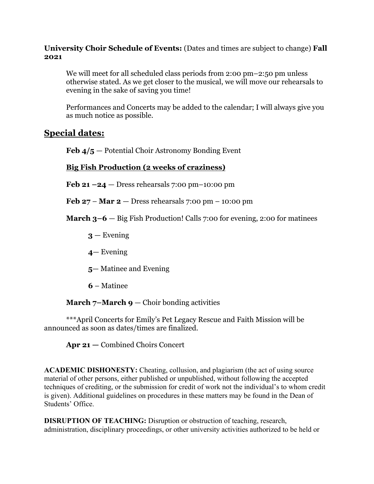## **University Choir Schedule of Events:** (Dates and times are subject to change) **Fall 2021**

We will meet for all scheduled class periods from 2:00 pm–2:50 pm unless otherwise stated. As we get closer to the musical, we will move our rehearsals to evening in the sake of saving you time!

Performances and Concerts may be added to the calendar; I will always give you as much notice as possible.

# **Special dates:**

**Feb 4/5** — Potential Choir Astronomy Bonding Event

# **Big Fish Production (2 weeks of craziness)**

**Feb 21 –24** — Dress rehearsals 7:00 pm–10:00 pm

**Feb 27** – **Mar 2** — Dress rehearsals 7:00 pm – 10:00 pm

**March 3–6** — Big Fish Production! Calls 7:00 for evening, 2:00 for matinees

- $3$  Evening
- **4** Evening
- **5** Matinee and Evening
- **6**  Matinee

**March**  $7$ **–March**  $9$  – Choir bonding activities

\*\*\*April Concerts for Emily's Pet Legacy Rescue and Faith Mission will be announced as soon as dates/times are finalized.

**Apr 21 —** Combined Choirs Concert

**ACADEMIC DISHONESTY:** Cheating, collusion, and plagiarism (the act of using source material of other persons, either published or unpublished, without following the accepted techniques of crediting, or the submission for credit of work not the individual's to whom credit is given). Additional guidelines on procedures in these matters may be found in the Dean of Students' Office.

**DISRUPTION OF TEACHING:** Disruption or obstruction of teaching, research, administration, disciplinary proceedings, or other university activities authorized to be held or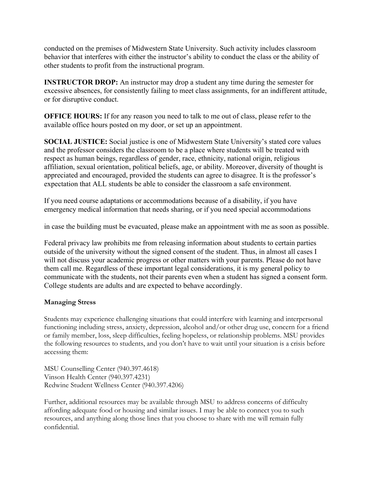conducted on the premises of Midwestern State University. Such activity includes classroom behavior that interferes with either the instructor's ability to conduct the class or the ability of other students to profit from the instructional program.

**INSTRUCTOR DROP:** An instructor may drop a student any time during the semester for excessive absences, for consistently failing to meet class assignments, for an indifferent attitude, or for disruptive conduct.

**OFFICE HOURS:** If for any reason you need to talk to me out of class, please refer to the available office hours posted on my door, or set up an appointment.

**SOCIAL JUSTICE:** Social justice is one of Midwestern State University's stated core values and the professor considers the classroom to be a place where students will be treated with respect as human beings, regardless of gender, race, ethnicity, national origin, religious affiliation, sexual orientation, political beliefs, age, or ability. Moreover, diversity of thought is appreciated and encouraged, provided the students can agree to disagree. It is the professor's expectation that ALL students be able to consider the classroom a safe environment.

If you need course adaptations or accommodations because of a disability, if you have emergency medical information that needs sharing, or if you need special accommodations

in case the building must be evacuated, please make an appointment with me as soon as possible.

Federal privacy law prohibits me from releasing information about students to certain parties outside of the university without the signed consent of the student. Thus, in almost all cases I will not discuss your academic progress or other matters with your parents. Please do not have them call me. Regardless of these important legal considerations, it is my general policy to communicate with the students, not their parents even when a student has signed a consent form. College students are adults and are expected to behave accordingly.

### **Managing Stress**

Students may experience challenging situations that could interfere with learning and interpersonal functioning including stress, anxiety, depression, alcohol and/or other drug use, concern for a friend or family member, loss, sleep difficulties, feeling hopeless, or relationship problems. MSU provides the following resources to students, and you don't have to wait until your situation is a crisis before accessing them:

MSU Counselling Center (940.397.4618) Vinson Health Center (940.397.4231) Redwine Student Wellness Center (940.397.4206)

Further, additional resources may be available through MSU to address concerns of difficulty affording adequate food or housing and similar issues. I may be able to connect you to such resources, and anything along those lines that you choose to share with me will remain fully confidential.